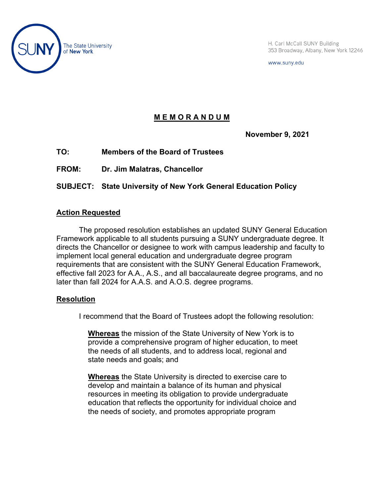

H. Carl McCall SUNY Building 353 Broadway, Albany, New York 12246

www.suny.edu

# **M E M O R A N D U M**

**November 9, 2021**

**TO: Members of the Board of Trustees**

**FROM: Dr. Jim Malatras, Chancellor**

**SUBJECT: State University of New York General Education Policy**

## **Action Requested**

The proposed resolution establishes an updated SUNY General Education Framework applicable to all students pursuing a SUNY undergraduate degree. It directs the Chancellor or designee to work with campus leadership and faculty to implement local general education and undergraduate degree program requirements that are consistent with the SUNY General Education Framework, effective fall 2023 for A.A., A.S., and all baccalaureate degree programs, and no later than fall 2024 for A.A.S. and A.O.S. degree programs.

## **Resolution**

I recommend that the Board of Trustees adopt the following resolution:

**Whereas** the mission of the State University of New York is to provide a comprehensive program of higher education, to meet the needs of all students, and to address local, regional and state needs and goals; and

**Whereas** the State University is directed to exercise care to develop and maintain a balance of its human and physical resources in meeting its obligation to provide undergraduate education that reflects the opportunity for individual choice and the needs of society, and promotes appropriate program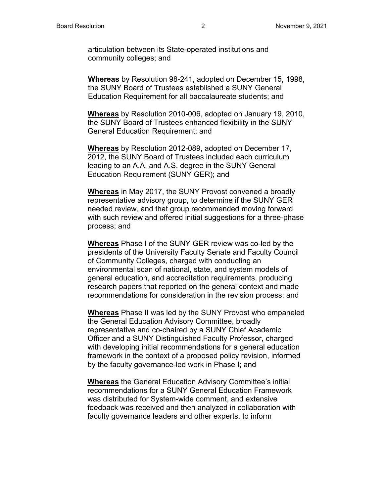articulation between its State-operated institutions and community colleges; and

**Whereas** by Resolution 98-241, adopted on December 15, 1998, the SUNY Board of Trustees established a SUNY General Education Requirement for all baccalaureate students; and

**Whereas** by Resolution 2010-006, adopted on January 19, 2010, the SUNY Board of Trustees enhanced flexibility in the SUNY General Education Requirement; and

**Whereas** by Resolution 2012-089, adopted on December 17, 2012, the SUNY Board of Trustees included each curriculum leading to an A.A. and A.S. degree in the SUNY General Education Requirement (SUNY GER); and

**Whereas** in May 2017, the SUNY Provost convened a broadly representative advisory group, to determine if the SUNY GER needed review, and that group recommended moving forward with such review and offered initial suggestions for a three-phase process; and

**Whereas** Phase I of the SUNY GER review was co-led by the presidents of the University Faculty Senate and Faculty Council of Community Colleges, charged with conducting an environmental scan of national, state, and system models of general education, and accreditation requirements, producing research papers that reported on the general context and made recommendations for consideration in the revision process; and

**Whereas** Phase II was led by the SUNY Provost who empaneled the General Education Advisory Committee, broadly representative and co-chaired by a SUNY Chief Academic Officer and a SUNY Distinguished Faculty Professor, charged with developing initial recommendations for a general education framework in the context of a proposed policy revision, informed by the faculty governance-led work in Phase I; and

**Whereas** the General Education Advisory Committee's initial recommendations for a SUNY General Education Framework was distributed for System-wide comment, and extensive feedback was received and then analyzed in collaboration with faculty governance leaders and other experts, to inform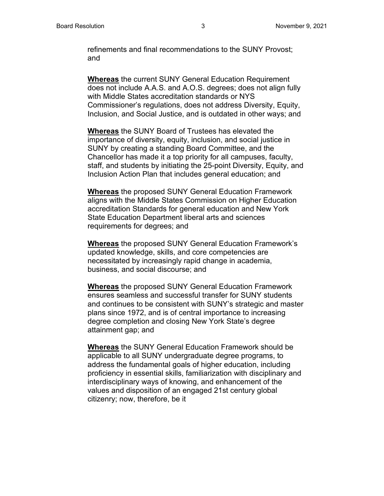refinements and final recommendations to the SUNY Provost; and

**Whereas** the current SUNY General Education Requirement does not include A.A.S. and A.O.S. degrees; does not align fully with Middle States accreditation standards or NYS Commissioner's regulations, does not address Diversity, Equity, Inclusion, and Social Justice, and is outdated in other ways; and

**Whereas** the SUNY Board of Trustees has elevated the importance of diversity, equity, inclusion, and social justice in SUNY by creating a standing Board Committee, and the Chancellor has made it a top priority for all campuses, faculty, staff, and students by initiating the 25-point Diversity, Equity, and Inclusion Action Plan that includes general education; and

**Whereas** the proposed SUNY General Education Framework aligns with the Middle States Commission on Higher Education accreditation Standards for general education and New York State Education Department liberal arts and sciences requirements for degrees; and

**Whereas** the proposed SUNY General Education Framework's updated knowledge, skills, and core competencies are necessitated by increasingly rapid change in academia, business, and social discourse; and

**Whereas** the proposed SUNY General Education Framework ensures seamless and successful transfer for SUNY students and continues to be consistent with SUNY's strategic and master plans since 1972, and is of central importance to increasing degree completion and closing New York State's degree attainment gap; and

**Whereas** the SUNY General Education Framework should be applicable to all SUNY undergraduate degree programs, to address the fundamental goals of higher education, including proficiency in essential skills, familiarization with disciplinary and interdisciplinary ways of knowing, and enhancement of the values and disposition of an engaged 21st century global citizenry; now, therefore, be it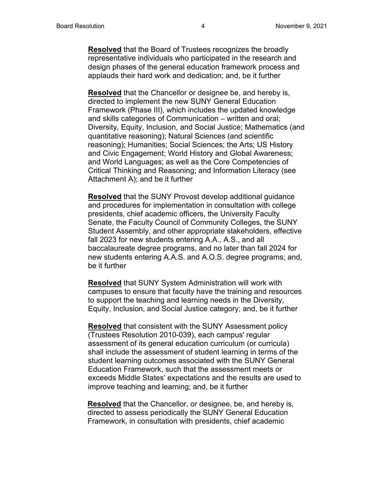**Resolved** that the Board of Trustees recognizes the broadly representative individuals who participated in the research and design phases of the general education framework process and applauds their hard work and dedication; and, be it further

**Resolved** that the Chancellor or designee be, and hereby is, directed to implement the new SUNY General Education Framework (Phase III), which includes the updated knowledge and skills categories of Communication – written and oral; Diversity, Equity, Inclusion, and Social Justice; Mathematics (and quantitative reasoning); Natural Sciences (and scientific reasoning); Humanities; Social Sciences; the Arts; US History and Civic Engagement; World History and Global Awareness; and World Languages; as well as the Core Competencies of Critical Thinking and Reasoning; and Information Literacy (see Attachment A); and be it further

**Resolved** that the SUNY Provost develop additional guidance and procedures for implementation in consultation with college presidents, chief academic officers, the University Faculty Senate, the Faculty Council of Community Colleges, the SUNY Student Assembly, and other appropriate stakeholders, effective fall 2023 for new students entering A.A., A.S., and all baccalaureate degree programs, and no later than fall 2024 for new students entering A.A.S. and A.O.S. degree programs; and, be it further

**Resolved** that SUNY System Administration will work with campuses to ensure that faculty have the training and resources to support the teaching and learning needs in the Diversity, Equity, Inclusion, and Social Justice category; and, be it further

**Resolved** that consistent with the SUNY Assessment policy (Trustees Resolution 2010-039), each campus' regular assessment of its general education curriculum (or curricula) shall include the assessment of student learning in terms of the student learning outcomes associated with the SUNY General Education Framework, such that the assessment meets or exceeds Middle States' expectations and the results are used to improve teaching and learning; and, be it further

**Resolved** that the Chancellor, or designee, be, and hereby is, directed to assess periodically the SUNY General Education Framework, in consultation with presidents, chief academic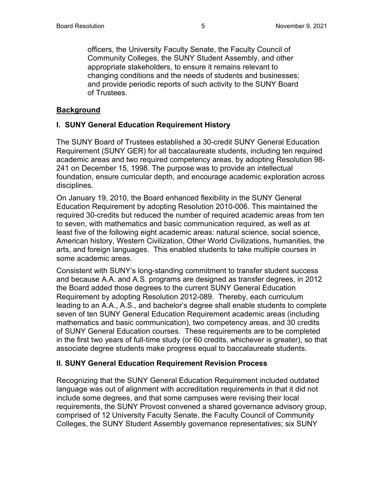officers, the University Faculty Senate, the Faculty Council of Community Colleges, the SUNY Student Assembly, and other appropriate stakeholders, to ensure it remains relevant to changing conditions and the needs of students and businesses; and provide periodic reports of such activity to the SUNY Board of Trustees.

### **Background**

### **I. SUNY General Education Requirement History**

The SUNY Board of Trustees established a 30-credit SUNY General Education Requirement (SUNY GER) for all baccalaureate students, including ten required academic areas and two required competency areas, by adopting Resolution 98- 241 on December 15, 1998. The purpose was to provide an intellectual foundation, ensure curricular depth, and encourage academic exploration across disciplines.

On January 19, 2010, the Board enhanced flexibility in the SUNY General Education Requirement by adopting Resolution 2010-006. This maintained the required 30-credits but reduced the number of required academic areas from ten to seven, with mathematics and basic communication required, as well as at least five of the following eight academic areas: natural science, social science, American history, Western Civilization, Other World Civilizations, humanities, the arts, and foreign languages. This enabled students to take multiple courses in some academic areas.

Consistent with SUNY's long-standing commitment to transfer student success and because A.A. and A.S. programs are designed as transfer degrees, in 2012 the Board added those degrees to the current SUNY General Education Requirement by adopting Resolution 2012-089. Thereby, each curriculum leading to an A.A., A.S., and bachelor's degree shall enable students to complete seven of ten SUNY General Education Requirement academic areas (including mathematics and basic communication), two competency areas, and 30 credits of SUNY General Education courses. These requirements are to be completed in the first two years of full-time study (or 60 credits, whichever is greater), so that associate degree students make progress equal to baccalaureate students.

#### **II. SUNY General Education Requirement Revision Process**

Recognizing that the SUNY General Education Requirement included outdated language was out of alignment with accreditation requirements in that it did not include some degrees, and that some campuses were revising their local requirements, the SUNY Provost convened a shared governance advisory group, comprised of 12 University Faculty Senate, the Faculty Council of Community Colleges, the SUNY Student Assembly governance representatives; six SUNY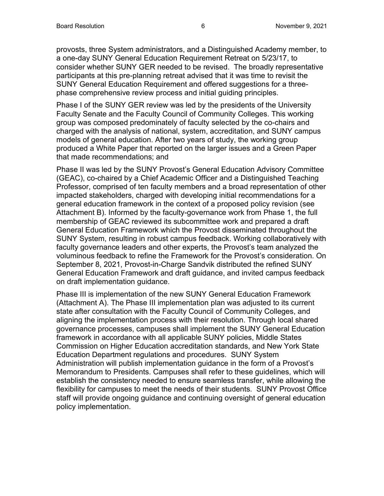provosts, three System administrators, and a Distinguished Academy member, to a one-day SUNY General Education Requirement Retreat on 5/23/17, to consider whether SUNY GER needed to be revised. The broadly representative participants at this pre-planning retreat advised that it was time to revisit the SUNY General Education Requirement and offered suggestions for a threephase comprehensive review process and initial guiding principles.

Phase I of the SUNY GER review was led by the presidents of the University Faculty Senate and the Faculty Council of Community Colleges. This working group was composed predominately of faculty selected by the co-chairs and charged with the analysis of national, system, accreditation, and SUNY campus models of general education. After two years of study, the working group produced a White Paper that reported on the larger issues and a Green Paper that made recommendations; and

Phase II was led by the SUNY Provost's General Education Advisory Committee (GEAC), co-chaired by a Chief Academic Officer and a Distinguished Teaching Professor, comprised of ten faculty members and a broad representation of other impacted stakeholders, charged with developing initial recommendations for a general education framework in the context of a proposed policy revision (see Attachment B). Informed by the faculty-governance work from Phase 1, the full membership of GEAC reviewed its subcommittee work and prepared a draft General Education Framework which the Provost disseminated throughout the SUNY System, resulting in robust campus feedback. Working collaboratively with faculty governance leaders and other experts, the Provost's team analyzed the voluminous feedback to refine the Framework for the Provost's consideration. On September 8, 2021, Provost-in-Charge Sandvik distributed the refined SUNY General Education Framework and draft guidance, and invited campus feedback on draft implementation guidance.

Phase III is implementation of the new SUNY General Education Framework (Attachment A). The Phase III implementation plan was adjusted to its current state after consultation with the Faculty Council of Community Colleges, and aligning the implementation process with their resolution. Through local shared governance processes, campuses shall implement the SUNY General Education framework in accordance with all applicable SUNY policies, Middle States Commission on Higher Education accreditation standards, and New York State Education Department regulations and procedures. SUNY System Administration will publish implementation guidance in the form of a Provost's Memorandum to Presidents. Campuses shall refer to these guidelines, which will establish the consistency needed to ensure seamless transfer, while allowing the flexibility for campuses to meet the needs of their students. SUNY Provost Office staff will provide ongoing guidance and continuing oversight of general education policy implementation.